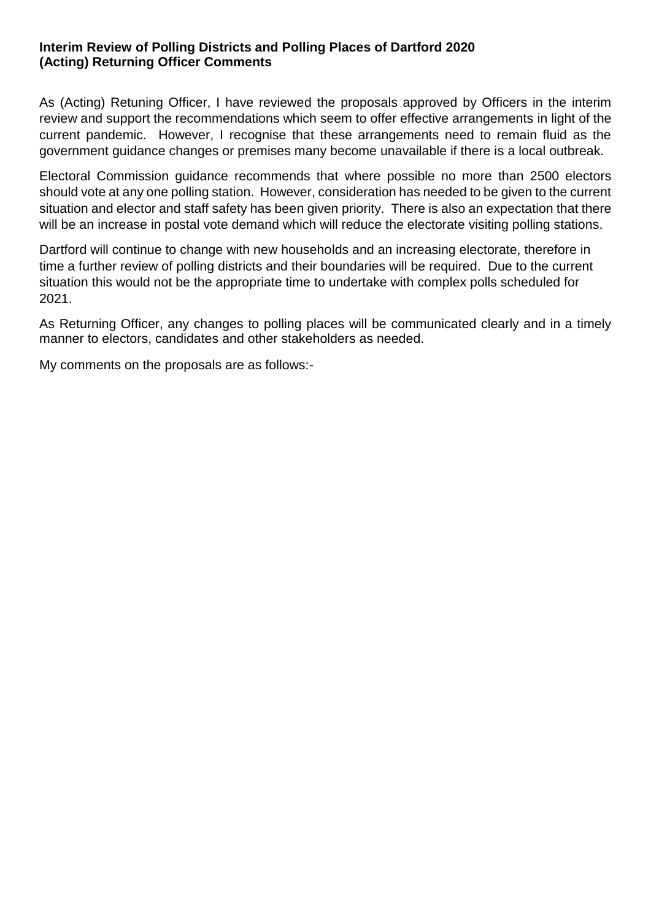## **Interim Review of Polling Districts and Polling Places of Dartford 2020 (Acting) Returning Officer Comments**

As (Acting) Retuning Officer, I have reviewed the proposals approved by Officers in the interim review and support the recommendations which seem to offer effective arrangements in light of the current pandemic. However, I recognise that these arrangements need to remain fluid as the government guidance changes or premises many become unavailable if there is a local outbreak.

Electoral Commission guidance recommends that where possible no more than 2500 electors should vote at any one polling station. However, consideration has needed to be given to the current situation and elector and staff safety has been given priority. There is also an expectation that there will be an increase in postal vote demand which will reduce the electorate visiting polling stations.

Dartford will continue to change with new households and an increasing electorate, therefore in time a further review of polling districts and their boundaries will be required. Due to the current situation this would not be the appropriate time to undertake with complex polls scheduled for 2021.

As Returning Officer, any changes to polling places will be communicated clearly and in a timely manner to electors, candidates and other stakeholders as needed.

My comments on the proposals are as follows:-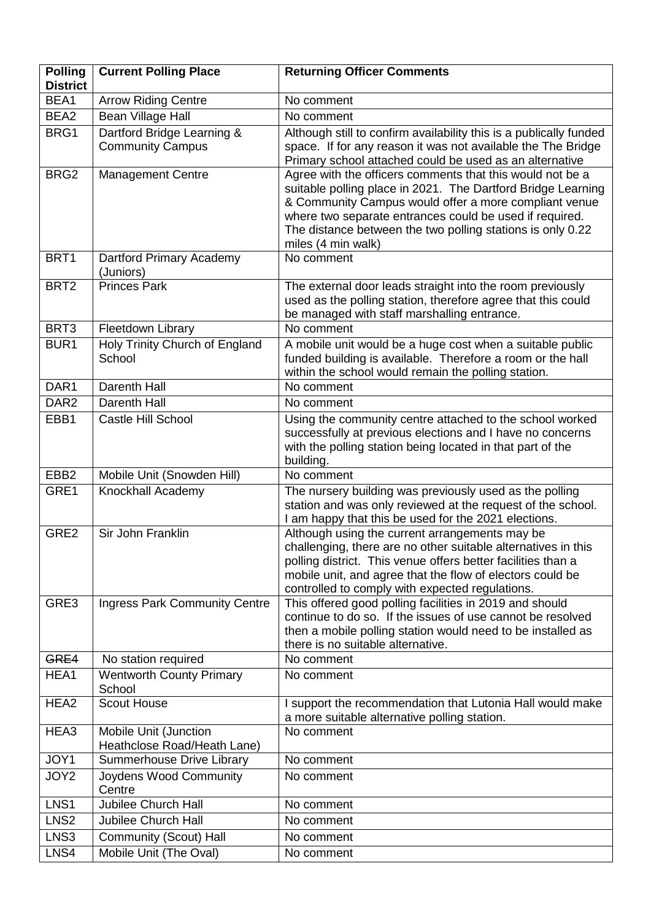| <b>Polling</b><br><b>District</b> | <b>Current Polling Place</b>                          | <b>Returning Officer Comments</b>                                                                                                                                                                                                                                                                                                 |
|-----------------------------------|-------------------------------------------------------|-----------------------------------------------------------------------------------------------------------------------------------------------------------------------------------------------------------------------------------------------------------------------------------------------------------------------------------|
| BEA1                              | <b>Arrow Riding Centre</b>                            | No comment                                                                                                                                                                                                                                                                                                                        |
| BEA2                              | Bean Village Hall                                     | No comment                                                                                                                                                                                                                                                                                                                        |
| BRG1                              | Dartford Bridge Learning &<br><b>Community Campus</b> | Although still to confirm availability this is a publically funded<br>space. If for any reason it was not available the The Bridge<br>Primary school attached could be used as an alternative                                                                                                                                     |
| BRG <sub>2</sub>                  | <b>Management Centre</b>                              | Agree with the officers comments that this would not be a<br>suitable polling place in 2021. The Dartford Bridge Learning<br>& Community Campus would offer a more compliant venue<br>where two separate entrances could be used if required.<br>The distance between the two polling stations is only 0.22<br>miles (4 min walk) |
| BRT1                              | Dartford Primary Academy<br>(Juniors)                 | No comment                                                                                                                                                                                                                                                                                                                        |
| BRT <sub>2</sub>                  | <b>Princes Park</b>                                   | The external door leads straight into the room previously<br>used as the polling station, therefore agree that this could<br>be managed with staff marshalling entrance.                                                                                                                                                          |
| BRT3                              | Fleetdown Library                                     | No comment                                                                                                                                                                                                                                                                                                                        |
| BUR1                              | Holy Trinity Church of England<br>School              | A mobile unit would be a huge cost when a suitable public<br>funded building is available. Therefore a room or the hall<br>within the school would remain the polling station.                                                                                                                                                    |
| DAR1                              | Darenth Hall                                          | No comment                                                                                                                                                                                                                                                                                                                        |
| DAR <sub>2</sub>                  | Darenth Hall                                          | No comment                                                                                                                                                                                                                                                                                                                        |
| EBB1                              | Castle Hill School                                    | Using the community centre attached to the school worked<br>successfully at previous elections and I have no concerns<br>with the polling station being located in that part of the<br>building.                                                                                                                                  |
| EBB <sub>2</sub>                  | Mobile Unit (Snowden Hill)                            | No comment                                                                                                                                                                                                                                                                                                                        |
| GRE1                              | Knockhall Academy                                     | The nursery building was previously used as the polling<br>station and was only reviewed at the request of the school.<br>I am happy that this be used for the 2021 elections.                                                                                                                                                    |
| GRE2                              | Sir John Franklin                                     | Although using the current arrangements may be<br>challenging, there are no other suitable alternatives in this<br>polling district. This venue offers better facilities than a<br>mobile unit, and agree that the flow of electors could be<br>controlled to comply with expected regulations.                                   |
| GRE3                              | <b>Ingress Park Community Centre</b>                  | This offered good polling facilities in 2019 and should<br>continue to do so. If the issues of use cannot be resolved<br>then a mobile polling station would need to be installed as<br>there is no suitable alternative.                                                                                                         |
| GRE4                              | No station required                                   | No comment                                                                                                                                                                                                                                                                                                                        |
| HEA1                              | <b>Wentworth County Primary</b><br>School             | No comment                                                                                                                                                                                                                                                                                                                        |
| HEA2                              | <b>Scout House</b>                                    | I support the recommendation that Lutonia Hall would make<br>a more suitable alternative polling station.                                                                                                                                                                                                                         |
| HEA3                              | Mobile Unit (Junction<br>Heathclose Road/Heath Lane)  | No comment                                                                                                                                                                                                                                                                                                                        |
| JOY1                              | Summerhouse Drive Library                             | No comment                                                                                                                                                                                                                                                                                                                        |
| JOY2                              | Joydens Wood Community<br>Centre                      | No comment                                                                                                                                                                                                                                                                                                                        |
| LNS1                              | <b>Jubilee Church Hall</b>                            | No comment                                                                                                                                                                                                                                                                                                                        |
| LNS <sub>2</sub>                  | <b>Jubilee Church Hall</b>                            | No comment                                                                                                                                                                                                                                                                                                                        |
| LNS3                              | Community (Scout) Hall                                | No comment                                                                                                                                                                                                                                                                                                                        |
| LNS4                              | Mobile Unit (The Oval)                                | No comment                                                                                                                                                                                                                                                                                                                        |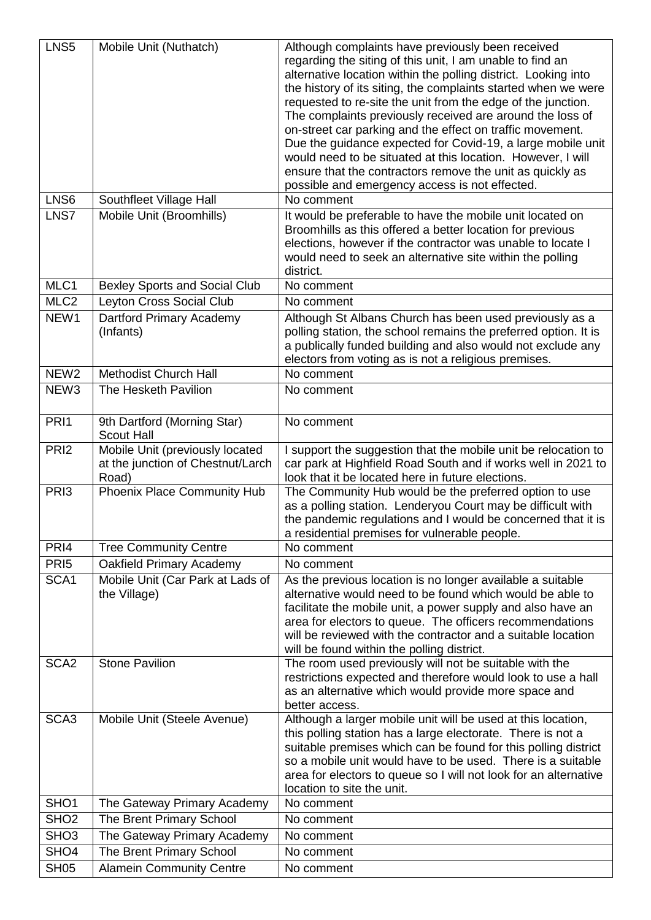| LNS5<br>LNS <sub>6</sub> | Mobile Unit (Nuthatch)<br>Southfleet Village Hall                             | Although complaints have previously been received<br>regarding the siting of this unit, I am unable to find an<br>alternative location within the polling district. Looking into<br>the history of its siting, the complaints started when we were<br>requested to re-site the unit from the edge of the junction.<br>The complaints previously received are around the loss of<br>on-street car parking and the effect on traffic movement.<br>Due the guidance expected for Covid-19, a large mobile unit<br>would need to be situated at this location. However, I will<br>ensure that the contractors remove the unit as quickly as<br>possible and emergency access is not effected.<br>No comment |
|--------------------------|-------------------------------------------------------------------------------|---------------------------------------------------------------------------------------------------------------------------------------------------------------------------------------------------------------------------------------------------------------------------------------------------------------------------------------------------------------------------------------------------------------------------------------------------------------------------------------------------------------------------------------------------------------------------------------------------------------------------------------------------------------------------------------------------------|
| LNS7                     | Mobile Unit (Broomhills)                                                      | It would be preferable to have the mobile unit located on                                                                                                                                                                                                                                                                                                                                                                                                                                                                                                                                                                                                                                               |
|                          |                                                                               | Broomhills as this offered a better location for previous<br>elections, however if the contractor was unable to locate I<br>would need to seek an alternative site within the polling<br>district.                                                                                                                                                                                                                                                                                                                                                                                                                                                                                                      |
| MLC1                     | <b>Bexley Sports and Social Club</b>                                          | No comment                                                                                                                                                                                                                                                                                                                                                                                                                                                                                                                                                                                                                                                                                              |
| MLC <sub>2</sub>         | Leyton Cross Social Club                                                      | No comment                                                                                                                                                                                                                                                                                                                                                                                                                                                                                                                                                                                                                                                                                              |
| NEW1                     | Dartford Primary Academy<br>(Infants)                                         | Although St Albans Church has been used previously as a<br>polling station, the school remains the preferred option. It is<br>a publically funded building and also would not exclude any<br>electors from voting as is not a religious premises.                                                                                                                                                                                                                                                                                                                                                                                                                                                       |
| $\overline{\text{NEW2}}$ | <b>Methodist Church Hall</b>                                                  | No comment                                                                                                                                                                                                                                                                                                                                                                                                                                                                                                                                                                                                                                                                                              |
| NEW <sub>3</sub>         | The Hesketh Pavilion                                                          | No comment                                                                                                                                                                                                                                                                                                                                                                                                                                                                                                                                                                                                                                                                                              |
| PRI1                     | 9th Dartford (Morning Star)<br><b>Scout Hall</b>                              | No comment                                                                                                                                                                                                                                                                                                                                                                                                                                                                                                                                                                                                                                                                                              |
| PRI <sub>2</sub>         | Mobile Unit (previously located<br>at the junction of Chestnut/Larch<br>Road) | I support the suggestion that the mobile unit be relocation to<br>car park at Highfield Road South and if works well in 2021 to<br>look that it be located here in future elections.                                                                                                                                                                                                                                                                                                                                                                                                                                                                                                                    |
| PRI <sub>3</sub>         | <b>Phoenix Place Community Hub</b>                                            | The Community Hub would be the preferred option to use<br>as a polling station. Lenderyou Court may be difficult with<br>the pandemic regulations and I would be concerned that it is<br>a residential premises for vulnerable people.                                                                                                                                                                                                                                                                                                                                                                                                                                                                  |
| PRI4                     | <b>Tree Community Centre</b>                                                  | No comment                                                                                                                                                                                                                                                                                                                                                                                                                                                                                                                                                                                                                                                                                              |
| PRI <sub>5</sub>         | Oakfield Primary Academy                                                      | No comment                                                                                                                                                                                                                                                                                                                                                                                                                                                                                                                                                                                                                                                                                              |
| SCA1                     | Mobile Unit (Car Park at Lads of<br>the Village)                              | As the previous location is no longer available a suitable<br>alternative would need to be found which would be able to<br>facilitate the mobile unit, a power supply and also have an<br>area for electors to queue. The officers recommendations<br>will be reviewed with the contractor and a suitable location<br>will be found within the polling district.                                                                                                                                                                                                                                                                                                                                        |
| SCA <sub>2</sub>         | <b>Stone Pavilion</b>                                                         | The room used previously will not be suitable with the<br>restrictions expected and therefore would look to use a hall<br>as an alternative which would provide more space and<br>better access.                                                                                                                                                                                                                                                                                                                                                                                                                                                                                                        |
| SCA <sub>3</sub>         | Mobile Unit (Steele Avenue)                                                   | Although a larger mobile unit will be used at this location,<br>this polling station has a large electorate. There is not a<br>suitable premises which can be found for this polling district<br>so a mobile unit would have to be used. There is a suitable<br>area for electors to queue so I will not look for an alternative<br>location to site the unit.                                                                                                                                                                                                                                                                                                                                          |
| SHO <sub>1</sub>         | The Gateway Primary Academy                                                   | No comment                                                                                                                                                                                                                                                                                                                                                                                                                                                                                                                                                                                                                                                                                              |
| $\overline{\text{SHO2}}$ | The Brent Primary School                                                      | No comment                                                                                                                                                                                                                                                                                                                                                                                                                                                                                                                                                                                                                                                                                              |
| SHO <sub>3</sub>         | The Gateway Primary Academy                                                   | No comment                                                                                                                                                                                                                                                                                                                                                                                                                                                                                                                                                                                                                                                                                              |
| SHO <sub>4</sub>         | The Brent Primary School                                                      | No comment                                                                                                                                                                                                                                                                                                                                                                                                                                                                                                                                                                                                                                                                                              |
| <b>SH05</b>              | <b>Alamein Community Centre</b>                                               | No comment                                                                                                                                                                                                                                                                                                                                                                                                                                                                                                                                                                                                                                                                                              |